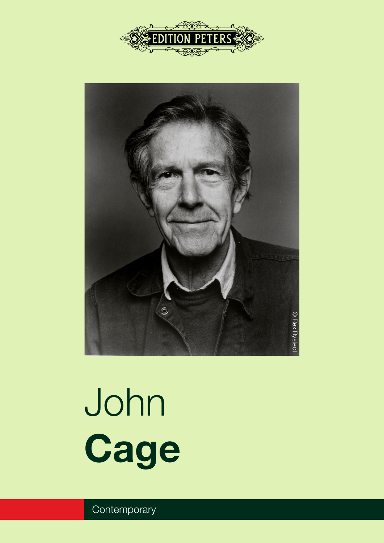



# John **Cage**

**Contemporary**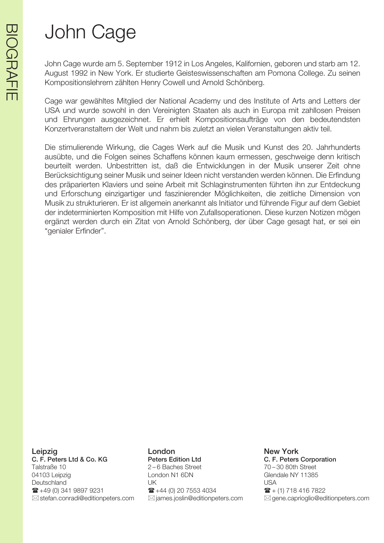John Cage wurde am 5. September 1912 in Los Angeles, Kalifornien, geboren und starb am 12. August 1992 in New York. Er studierte Geisteswissenschaften am Pomona College. Zu seinen Kompositionslehrern zählten Henry Cowell und Arnold Schönberg.

Cage war gewähltes Mitglied der National Academy und des Institute of Arts and Letters der USA und wurde sowohl in den Vereinigten Staaten als auch in Europa mit zahllosen Preisen und Ehrungen ausgezeichnet. Er erhielt Kompositionsaufträge von den bedeutendsten Konzertveranstaltern der Welt und nahm bis zuletzt an vielen Veranstaltungen aktiv teil.

Die stimulierende Wirkung, die Cages Werk auf die Musik und Kunst des 20. Jahrhunderts ausübte, und die Folgen seines Schaffens können kaum ermessen, geschweige denn kritisch beurteilt werden. Unbestritten ist, daß die Entwicklungen in der Musik unserer Zeit ohne Berücksichtigung seiner Musik und seiner Ideen nicht verstanden werden können. Die Erfindung des präparierten Klaviers und seine Arbeit mit Schlaginstrumenten führten ihn zur Entdeckung und Erforschung einzigartiger und faszinierender Möglichkeiten, die zeitliche Dimension von Musik zu strukturieren. Er ist allgemein anerkannt als Initiator und führende Figur auf dem Gebiet der indeterminierten Komposition mit Hilfe von Zufallsoperationen. Diese kurzen Notizen mögen ergänzt werden durch ein Zitat von Arnold Schönberg, der über Cage gesagt hat, er sei ein "genialer Erfinder".

Leipzig London New York C. F. Peters Ltd & Co. KG Peters Edition Ltd C. F. Peters Corporation Talstraße 10 2 – 6 Baches Street 70 – 30 80th Street 04103 Leipzig Contact Condon N1 6DN Glendale NY 11385 Deutschland UK USA  $\mathbf{F}$  +49 (0) 341 9897 9231  $\mathbf{F}$  +44 (0) 20 7553 4034  $\mathbf{F}$  + (1) 718 416 7822

 $\boxtimes$  stefan.conradi@editionpeters.com  $\boxtimes$  james.joslin@editionpeters.com  $\boxtimes$  gene.caprioglio@editionpeters.com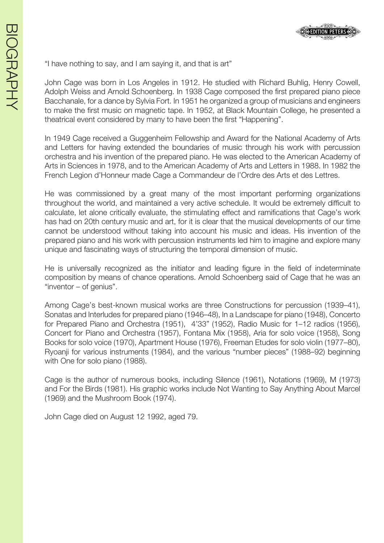

"I have nothing to say, and I am saying it, and that is art"

John Cage was born in Los Angeles in 1912. He studied with Richard Buhlig, Henry Cowell, Adolph Weiss and Arnold Schoenberg. In 1938 Cage composed the first prepared piano piece Bacchanale, for a dance by Sylvia Fort. In 1951 he organized a group of musicians and engineers to make the first music on magnetic tape. In 1952, at Black Mountain College, he presented a theatrical event considered by many to have been the first "Happening".

In 1949 Cage received a Guggenheim Fellowship and Award for the National Academy of Arts and Letters for having extended the boundaries of music through his work with percussion orchestra and his invention of the prepared piano. He was elected to the American Academy of Arts in Sciences in 1978, and to the American Academy of Arts and Letters in 1988. In 1982 the French Legion d'Honneur made Cage a Commandeur de l'Ordre des Arts et des Lettres.

He was commissioned by a great many of the most important performing organizations throughout the world, and maintained a very active schedule. It would be extremely difficult to calculate, let alone critically evaluate, the stimulating effect and ramifications that Cage's work has had on 20th century music and art, for it is clear that the musical developments of our time cannot be understood without taking into account his music and ideas. His invention of the prepared piano and his work with percussion instruments led him to imagine and explore many unique and fascinating ways of structuring the temporal dimension of music.

He is universally recognized as the initiator and leading figure in the field of indeterminate composition by means of chance operations. Arnold Schoenberg said of Cage that he was an "inventor – of genius".

Among Cage's best-known musical works are three Constructions for percussion (1939–41), Sonatas and Interludes for prepared piano (1946–48), In a Landscape for piano (1948), Concerto for Prepared Piano and Orchestra (1951), 4'33" (1952), Radio Music for 1–12 radios (1956), Concert for Piano and Orchestra (1957), Fontana Mix (1958), Aria for solo voice (1958), Song Books for solo voice (1970), Apartment House (1976), Freeman Etudes for solo violin (1977–80), Ryoanji for various instruments (1984), and the various "number pieces" (1988–92) beginning with One for solo piano (1988).

Cage is the author of numerous books, including Silence (1961), Notations (1969), M (1973) and For the Birds (1981). His graphic works include Not Wanting to Say Anything About Marcel (1969) and the Mushroom Book (1974).

John Cage died on August 12 1992, aged 79.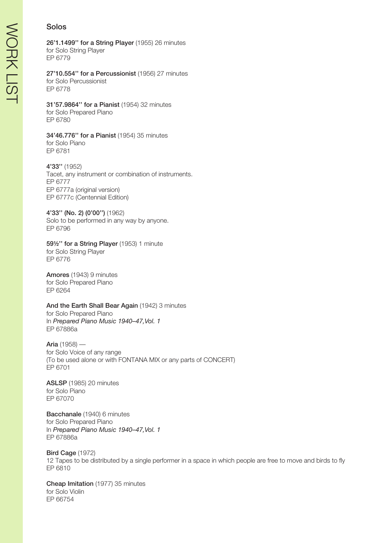# Solos

26'1.1499'' for a String Player (1955) 26 minutes for Solo String Player EP 6779

27'10.554'' for a Percussionist (1956) 27 minutes for Solo Percussionist EP 6778

#### 31'57.9864'' for a Pianist (1954) 32 minutes for Solo Prepared Piano EP 6780

#### 34'46.776'' for a Pianist (1954) 35 minutes for Solo Piano EP 6781

4'33'' (1952) Tacet, any instrument or combination of instruments. EP 6777 EP 6777a (original version) EP 6777c (Centennial Edition)

4'33'' (No. 2) (0'00'') (1962) Solo to be performed in any way by anyone. EP 6796

59½'' for a String Player (1953) 1 minute for Solo String Player EP 6776

Amores (1943) 9 minutes for Solo Prepared Piano EP 6264

#### And the Earth Shall Bear Again (1942) 3 minutes for Solo Prepared Piano In *Prepared Piano Music 1940–47,Vol. 1* EP 67886a

Aria (1958) for Solo Voice of any range (To be used alone or with FONTANA MIX or any parts of CONCERT) EP 6701

ASLSP (1985) 20 minutes for Solo Piano EP 67070

Bacchanale (1940) 6 minutes for Solo Prepared Piano In *Prepared Piano Music 1940–47,Vol. 1* EP 67886a

Bird Cage (1972) 12 Tapes to be distributed by a single performer in a space in which people are free to move and birds to fly EP 6810

Cheap Imitation (1977) 35 minutes for Solo Violin EP 66754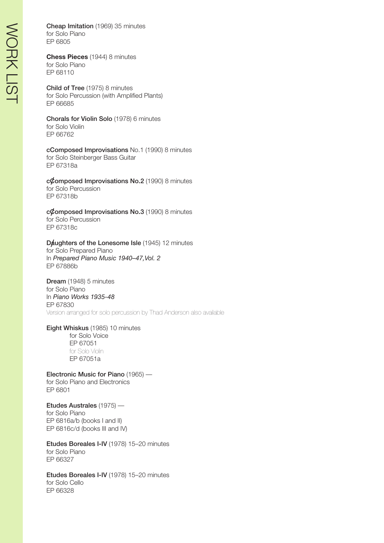Cheap Imitation (1969) 35 minutes for Solo Piano EP 6805

**Chess Pieces** (1944) 8 minutes for Solo Piano EP 68110

Child of Tree (1975) 8 minutes for Solo Percussion (with Amplified Plants) EP 66685

Chorals for Violin Solo (1978) 6 minutes for Solo Violin EP 66762

cComposed Improvisations No.1 (1990) 8 minutes for Solo Steinberger Bass Guitar EP 67318a

#### $c\mathcal{C}$ omposed Improvisations No.2 (1990) 8 minutes for Solo Percussion

EP 67318b

 $c\mathcal{C}$ omposed Improvisations No.3 (1990) 8 minutes for Solo Percussion EP 67318c

# Daughters of the Lonesome Isle (1945) 12 minutes

for Solo Prepared Piano In *Prepared Piano Music 1940–47,Vol. 2* EP 67886b

Dream (1948) 5 minutes for Solo Piano In *Piano Works 1935-48* EP 67830 Version arranged for solo percussion by Thad Anderson also available

Eight Whiskus (1985) 10 minutes

for Solo Voice EP 67051 for Solo Violin EP 67051a

Electronic Music for Piano (1965) for Solo Piano and Electronics EP 6801

Etudes Australes (1975) for Solo Piano EP 6816a/b (books I and II) EP 6816c/d (books III and IV)

Etudes Boreales I-IV (1978) 15–20 minutes for Solo Piano EP 66327

Etudes Boreales I-IV (1978) 15–20 minutes for Solo Cello EP 66328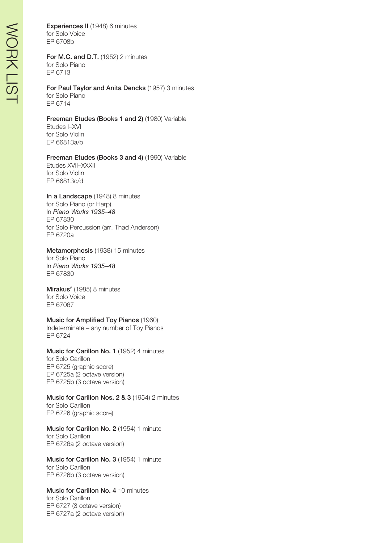Experiences II (1948) 6 minutes for Solo Voice EP 6708b

For M.C. and D.T. (1952) 2 minutes for Solo Piano EP 6713

For Paul Taylor and Anita Dencks (1957) 3 minutes for Solo Piano EP 6714

Freeman Etudes (Books 1 and 2) (1980) Variable Etudes I–XVI

for Solo Violin EP 66813a/b

# Freeman Etudes (Books 3 and 4) (1990) Variable

Etudes XVII–XXXII for Solo Violin EP 66813c/d

In a Landscape (1948) 8 minutes for Solo Piano (or Harp) In *Piano Works 1935–48* EP 67830 for Solo Percussion (arr. Thad Anderson) EP 6720a

Metamorphosis (1938) 15 minutes for Solo Piano

In *Piano Works 1935–48* EP 67830

Mirakus<sup>2</sup> (1985) 8 minutes for Solo Voice EP 67067

Music for Amplified Toy Pianos (1960)

Indeterminate – any number of Toy Pianos EP 6724

Music for Carillon No. 1 (1952) 4 minutes for Solo Carillon EP 6725 (graphic score) EP 6725a (2 octave version) EP 6725b (3 octave version)

Music for Carillon Nos. 2 & 3 (1954) 2 minutes for Solo Carillon EP 6726 (graphic score)

Music for Carillon No. 2 (1954) 1 minute for Solo Carillon EP 6726a (2 octave version)

Music for Carillon No. 3 (1954) 1 minute for Solo Carillon EP 6726b (3 octave version)

Music for Carillon No. 4 10 minutes for Solo Carillon EP 6727 (3 octave version) EP 6727a (2 octave version)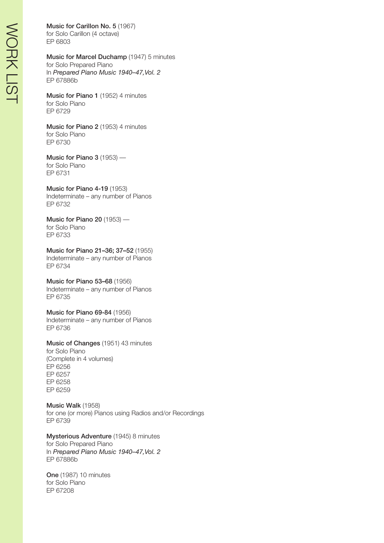#### Music for Carillon No. 5 (1967)

for Solo Carillon (4 octave) EP 6803

#### Music for Marcel Duchamp (1947) 5 minutes for Solo Prepared Piano In *Prepared Piano Music 1940–47,Vol. 2* EP 67886b

Music for Piano 1 (1952) 4 minutes for Solo Piano EP 6729

Music for Piano 2 (1953) 4 minutes for Solo Piano EP 6730

Music for Piano 3 (1953) for Solo Piano EP 6731

Music for Piano 4-19 (1953) Indeterminate – any number of Pianos EP 6732

Music for Piano 20 (1953) for Solo Piano EP 6733

Music for Piano 21–36; 37–52 (1955) Indeterminate – any number of Pianos EP 6734

Music for Piano 53–68 (1956)

Indeterminate – any number of Pianos EP 6735

Music for Piano 69-84 (1956) Indeterminate – any number of Pianos EP 6736

Music of Changes (1951) 43 minutes for Solo Piano (Complete in 4 volumes) EP 6256 EP 6257 EP 6258 EP 6259

Music Walk (1958) for one (or more) Pianos using Radios and/or Recordings EP 6739

Mysterious Adventure (1945) 8 minutes for Solo Prepared Piano In *Prepared Piano Music 1940–47,Vol. 2* EP 67886b

One (1987) 10 minutes for Solo Piano EP 67208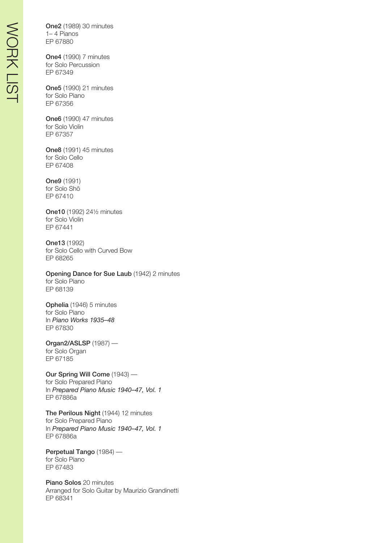One2 (1989) 30 minutes 1– 4 Pianos EP 67880

One4 (1990) 7 minutes for Solo Percussion EP 67349

One5 (1990) 21 minutes for Solo Piano EP 67356

One6 (1990) 47 minutes for Solo Violin EP 67357

One8 (1991) 45 minutes for Solo Cello EP 67408

One9 (1991) for Solo Shõ EP 67410

One10 (1992) 24½ minutes for Solo Violin EP 67441

One13 (1992) for Solo Cello with Curved Bow EP 68265

Opening Dance for Sue Laub (1942) 2 minutes for Solo Piano EP 68139

Ophelia (1946) 5 minutes for Solo Piano In *Piano Works 1935–48* EP 67830

Organ2/ASLSP (1987) for Solo Organ EP 67185

Our Spring Will Come (1943) for Solo Prepared Piano In *Prepared Piano Music 1940–47, Vol. 1* EP 67886a

The Perilous Night (1944) 12 minutes for Solo Prepared Piano In *Prepared Piano Music 1940–47, Vol. 1* EP 67886a

Perpetual Tango (1984) for Solo Piano EP 67483

Piano Solos 20 minutes Arranged for Solo Guitar by Maurizio Grandinetti EP 68341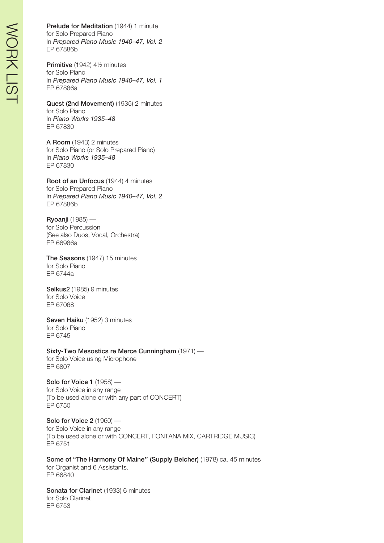Prelude for Meditation (1944) 1 minute for Solo Prepared Piano In *Prepared Piano Music 1940–47, Vol. 2* EP 67886b

Primitive (1942) 4½ minutes for Solo Piano In *Prepared Piano Music 1940–47, Vol. 1* EP 67886a

Quest (2nd Movement) (1935) 2 minutes for Solo Piano In *Piano Works 1935–48* EP 67830

A Room (1943) 2 minutes for Solo Piano (or Solo Prepared Piano) In *Piano Works 1935–48* EP 67830

Root of an Unfocus (1944) 4 minutes for Solo Prepared Piano In *Prepared Piano Music 1940–47, Vol. 2* EP 67886b

Ryoanji (1985) for Solo Percussion (See also Duos, Vocal, Orchestra) EP 66986a

The Seasons (1947) 15 minutes for Solo Piano EP 6744a

Selkus2 (1985) 9 minutes for Solo Voice EP 67068

Seven Haiku (1952) 3 minutes for Solo Piano EP 6745

Sixty-Two Mesostics re Merce Cunningham (1971) for Solo Voice using Microphone EP 6807

Solo for Voice 1 (1958) for Solo Voice in any range (To be used alone or with any part of CONCERT) EP 6750

Solo for Voice 2 (1960) for Solo Voice in any range (To be used alone or with CONCERT, FONTANA MIX, CARTRIDGE MUSIC) EP 6751

Some of "The Harmony Of Maine" (Supply Belcher) (1978) ca. 45 minutes for Organist and 6 Assistants. EP 66840

Sonata for Clarinet (1933) 6 minutes for Solo Clarinet EP 6753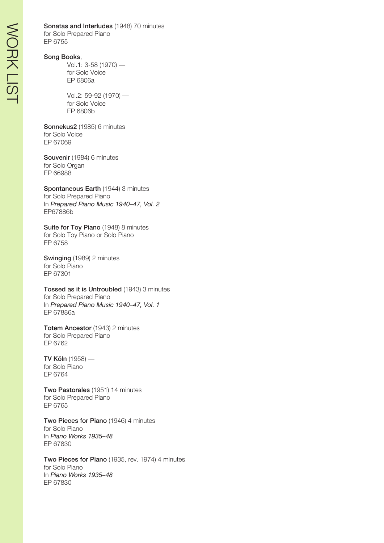Sonatas and Interludes (1948) 70 minutes for Solo Prepared Piano EP 6755

#### Song Books,

Vol.1: 3-58 (1970) for Solo Voice EP 6806a

Vol.2: 59-92 (1970) for Solo Voice EP 6806b

Sonnekus2 (1985) 6 minutes for Solo Voice EP 67069

Souvenir (1984) 6 minutes for Solo Organ EP 66988

Spontaneous Earth (1944) 3 minutes for Solo Prepared Piano In *Prepared Piano Music 1940–47, Vol. 2* EP67886b

Suite for Toy Piano (1948) 8 minutes for Solo Toy Piano or Solo Piano EP 6758

Swinging (1989) 2 minutes for Solo Piano EP 67301

Tossed as it is Untroubled (1943) 3 minutes for Solo Prepared Piano In *Prepared Piano Music 1940–47, Vol. 1* EP 67886a

Totem Ancestor (1943) 2 minutes for Solo Prepared Piano EP 6762

TV Köln (1958) for Solo Piano EP 6764

Two Pastorales (1951) 14 minutes for Solo Prepared Piano EP 6765

Two Pieces for Piano (1946) 4 minutes for Solo Piano In *Piano Works 1935–48* EP 67830

Two Pieces for Piano (1935, rev. 1974) 4 minutes for Solo Piano In *Piano Works 1935–48* EP 67830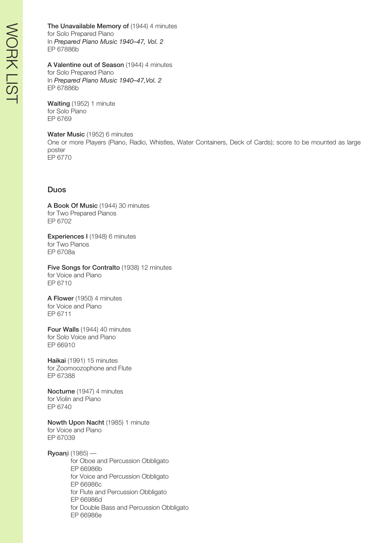The Unavailable Memory of (1944) 4 minutes for Solo Prepared Piano In *Prepared Piano Music 1940–47, Vol. 2* EP 67886b

A Valentine out of Season (1944) 4 minutes

for Solo Prepared Piano In *Prepared Piano Music 1940–47,Vol. 2* EP 67886b

Waiting (1952) 1 minute for Solo Piano EP 6769

Water Music (1952) 6 minutes One or more Players (Piano, Radio, Whistles, Water Containers, Deck of Cards); score to be mounted as large poster EP 6770

### Duos

A Book Of Music (1944) 30 minutes for Two Prepared Pianos EP 6702

Experiences I (1948) 6 minutes for Two Pianos EP 6708a

Five Songs for Contralto (1938) 12 minutes for Voice and Piano EP 6710

A Flower (1950) 4 minutes for Voice and Piano EP 6711

Four Walls (1944) 40 minutes for Solo Voice and Piano EP 66910

Haikai (1991) 15 minutes for Zoomoozophone and Flute EP 67388

Nocturne (1947) 4 minutes for Violin and Piano EP 6740

Nowth Upon Nacht (1985) 1 minute for Voice and Piano EP 67039

Ryoanji (1985) for Oboe and Percussion Obbligato EP 66986b for Voice and Percussion Obbligato EP 66986c for Flute and Percussion Obbligato EP 66986d for Double Bass and Percussion Obbligato EP 66986e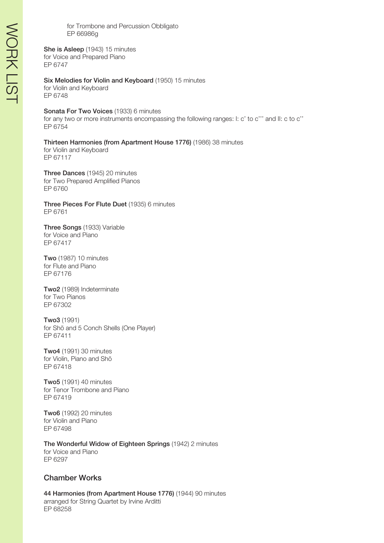for Trombone and Percussion Obbligato EP 66986g

She is Asleep (1943) 15 minutes for Voice and Prepared Piano EP 6747

Six Melodies for Violin and Keyboard (1950) 15 minutes for Violin and Keyboard EP 6748

#### Sonata For Two Voices (1933) 6 minutes

for any two or more instruments encompassing the following ranges: I: c' to c''' and II: c to c'' EP 6754

Thirteen Harmonies (from Apartment House 1776) (1986) 38 minutes

for Violin and Keyboard EP 67117

Three Dances (1945) 20 minutes for Two Prepared Amplified Pianos EP 6760

Three Pieces For Flute Duet (1935) 6 minutes EP 6761

Three Songs (1933) Variable for Voice and Piano EP 67417

Two (1987) 10 minutes for Flute and Piano EP 67176

Two2 (1989) Indeterminate for Two Pianos EP 67302

Two3 (1991) for Shõ and 5 Conch Shells (One Player) EP 67411

Two4 (1991) 30 minutes for Violin, Piano and Shõ EP 67418

Two5 (1991) 40 minutes for Tenor Trombone and Piano EP 67419

Two6 (1992) 20 minutes for Violin and Piano EP 67498

The Wonderful Widow of Eighteen Springs (1942) 2 minutes for Voice and Piano EP 6297

#### Chamber Works

44 Harmonies (from Apartment House 1776) (1944) 90 minutes arranged for String Quartet by Irvine Arditti EP 68258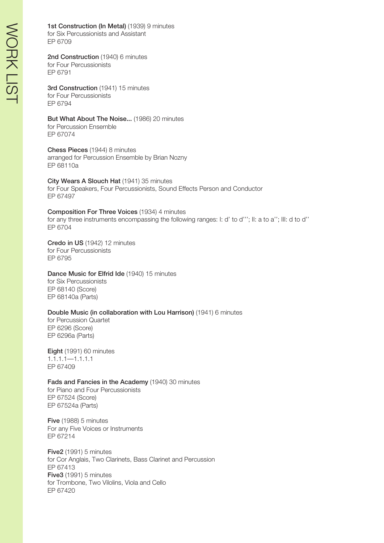## 1st Construction (In Metal) (1939) 9 minutes

for Six Percussionists and Assistant EP 6709

2nd Construction (1940) 6 minutes for Four Percussionists EP 6791

3rd Construction (1941) 15 minutes for Four Percussionists EP 6794

But What About The Noise... (1986) 20 minutes for Percussion Ensemble EP 67074

Chess Pieces (1944) 8 minutes arranged for Percussion Ensemble by Brian Nozny EP 68110a

City Wears A Slouch Hat (1941) 35 minutes for Four Speakers, Four Percussionists, Sound Effects Person and Conductor EP 67497

Composition For Three Voices (1934) 4 minutes for any three instruments encompassing the following ranges: I: d' to d'''; II: a to a''; III: d to d'' EP 6704

Credo in US (1942) 12 minutes for Four Percussionists EP 6795

#### Dance Music for Elfrid Ide (1940) 15 minutes

for Six Percussionists EP 68140 (Score) EP 68140a (Parts)

#### Double Music (in collaboration with Lou Harrison) (1941) 6 minutes

for Percussion Quartet EP 6296 (Score) EP 6296a (Parts)

Eight (1991) 60 minutes 1.1.1.1—1.1.1.1 EP 67409

#### Fads and Fancies in the Academy (1940) 30 minutes

for Piano and Four Percussionists EP 67524 (Score) EP 67524a (Parts)

Five (1988) 5 minutes For any Five Voices or Instruments EP 67214

Five2 (1991) 5 minutes for Cor Anglais, Two Clarinets, Bass Clarinet and Percussion EP 67413 Five3 (1991) 5 minutes for Trombone, Two Vilolins, Viola and Cello EP 67420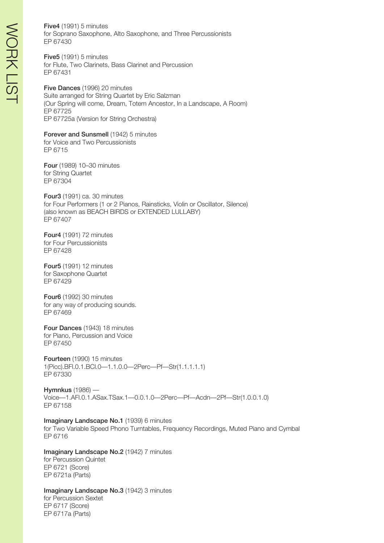Five4 (1991) 5 minutes for Soprano Saxophone, Alto Saxophone, and Three Percussionists EP 67430

Five5 (1991) 5 minutes for Flute, Two Clarinets, Bass Clarinet and Percussion EP 67431

Five Dances (1996) 20 minutes Suite arranged for String Quartet by Eric Salzman (Our Spring will come, Dream, Totem Ancestor, In a Landscape, A Room) EP 67725 EP 67725a (Version for String Orchestra)

Forever and Sunsmell (1942) 5 minutes for Voice and Two Percussionists EP 6715

Four (1989) 10–30 minutes for String Quartet EP 67304

Four3 (1991) ca. 30 minutes for Four Performers (1 or 2 Pianos, Rainsticks, Violin or Oscillator, Silence) (also known as BEACH BIRDS or EXTENDED LULLABY) EP 67407

Four4 (1991) 72 minutes for Four Percussionists EP 67428

Four5 (1991) 12 minutes for Saxophone Quartet EP 67429

Four6 (1992) 30 minutes for any way of producing sounds. EP 67469

Four Dances (1943) 18 minutes for Piano, Percussion and Voice EP 67450

Fourteen (1990) 15 minutes 1(Picc).BFl.0.1.BCl.0—1.1.0.0—2Perc—Pf—Str(1.1.1.1.1) EP 67330

Hymnkus (1986) — Voice—1.AFl.0.1.ASax.TSax.1—0.0.1.0—2Perc—Pf—Acdn—2Pf—Str(1.0.0.1.0) EP 67158

Imaginary Landscape No.1 (1939) 6 minutes for Two Variable Speed Phono Turntables, Frequency Recordings, Muted Piano and Cymbal EP 6716

Imaginary Landscape No.2 (1942) 7 minutes for Percussion Quintet EP 6721 (Score) EP 6721a (Parts)

Imaginary Landscape No.3 (1942) 3 minutes for Percussion Sextet EP 6717 (Score) EP 6717a (Parts)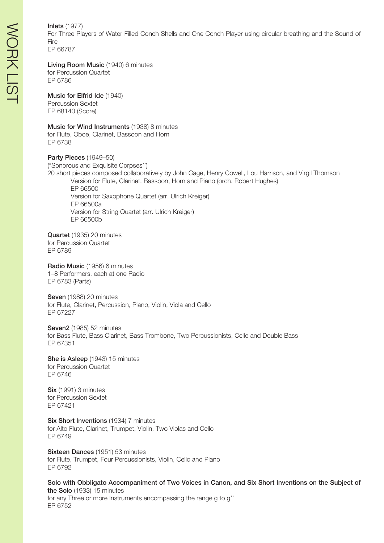#### Inlets (1977)

For Three Players of Water Filled Conch Shells and One Conch Player using circular breathing and the Sound of Fire EP 66787

Living Room Music (1940) 6 minutes

for Percussion Quartet EP 6786

#### Music for Elfrid Ide (1940)

Percussion Sextet EP 68140 (Score)

#### Music for Wind Instruments (1938) 8 minutes

for Flute, Oboe, Clarinet, Bassoon and Horn EP 6738

Party Pieces (1949-50) ("Sonorous and Exquisite Corpses'') 20 short pieces composed collaboratively by John Cage, Henry Cowell, Lou Harrison, and Virgil Thomson Version for Flute, Clarinet, Bassoon, Horn and Piano (orch. Robert Hughes) EP 66500 Version for Saxophone Quartet (arr. Ulrich Kreiger)

EP 66500a Version for String Quartet (arr. Ulrich Kreiger) EP 66500b

Quartet (1935) 20 minutes for Percussion Quartet EP 6789

Radio Music (1956) 6 minutes 1–8 Performers, each at one Radio EP 6783 (Parts)

Seven (1988) 20 minutes for Flute, Clarinet, Percussion, Piano, Violin, Viola and Cello EP 67227

Seven2 (1985) 52 minutes for Bass Flute, Bass Clarinet, Bass Trombone, Two Percussionists, Cello and Double Bass EP 67351

She is Asleep (1943) 15 minutes for Percussion Quartet EP 6746

Six (1991) 3 minutes for Percussion Sextet EP 67421

Six Short Inventions (1934) 7 minutes for Alto Flute, Clarinet, Trumpet, Violin, Two Violas and Cello EP 6749

Sixteen Dances (1951) 53 minutes for Flute, Trumpet, Four Percussionists, Violin, Cello and Piano EP 6792

Solo with Obbligato Accompaniment of Two Voices in Canon, and Six Short Inventions on the Subject of the Solo (1933) 15 minutes for any Three or more Instruments encompassing the range g to g'' EP 6752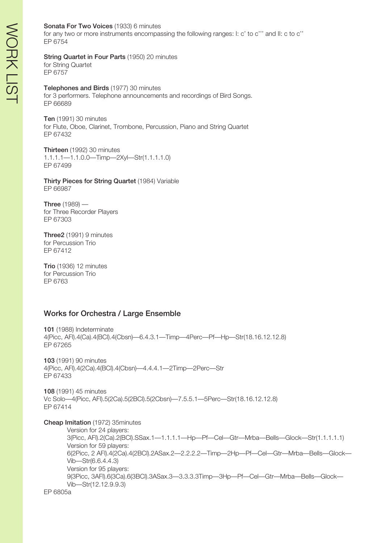#### Sonata For Two Voices (1933) 6 minutes

for any two or more instruments encompassing the following ranges: I: c' to c''' and II: c to c'' EP 6754

# String Quartet in Four Parts (1950) 20 minutes

for String Quartet EP 6757

Telephones and Birds (1977) 30 minutes for 3 performers. Telephone announcements and recordings of Bird Songs. EP 66689

Ten (1991) 30 minutes for Flute, Oboe, Clarinet, Trombone, Percussion, Piano and String Quartet EP 67432

Thirteen (1992) 30 minutes 1.1.1.1—1.1.0.0—Timp—2Xyl—Str(1.1.1.1.0) EP 67499

Thirty Pieces for String Quartet (1984) Variable EP 66987

Three (1989) for Three Recorder Players EP 67303

Three2 (1991) 9 minutes for Percussion Trio EP 67412

Trio (1936) 12 minutes for Percussion Trio EP 6763

# Works for Orchestra / Large Ensemble

101 (1988) Indeterminate 4(Picc, AFl).4(Ca).4(BCl).4(Cbsn)—6.4.3.1—Timp—4Perc—Pf—Hp—Str(18.16.12.12.8) EP 67265 103 (1991) 90 minutes 4(Picc, AFl).4(2Ca).4(BCl).4(Cbsn)—4.4.4.1—2Timp—2Perc—Str EP 67433 108 (1991) 45 minutes Vc Solo—4(Picc, AFl).5(2Ca).5(2BCl).5(2Cbsn)—7.5.5.1—5Perc—Str(18.16.12.12.8) EP 67414 Cheap Imitation (1972) 35minutes Version for 24 players: 3(Picc, AFl).2(Ca).2(BCl).SSax.1—1.1.1.1—Hp—Pf—Cel—Gtr—Mrba—Bells—Glock—Str(1.1.1.1.1) Version for 59 players: 6(2Picc, 2 AFl).4(2Ca).4(2BCl).2ASax.2—2.2.2.2—Timp—2Hp—Pf—Cel—Gtr—Mrba—Bells—Glock— Vib—Str(6.6.4.4.3) Version for 95 players: 9(3Picc, 3AFl).6(3Ca).6(3BCl).3ASax.3—3.3.3.3Timp—3Hp—Pf—Cel—Gtr—Mrba—Bells—Glock—

EP 6805a

Vib—Str(12.12.9.9.3)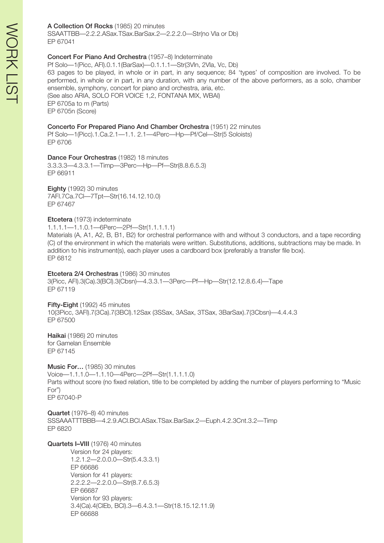#### A Collection Of Rocks (1985) 20 minutes

SSAATTBB—2.2.2.ASax.TSax.BarSax.2—2.2.2.0—Str(no Vla or Db) EP 67041

#### Concert For Piano And Orchestra (1957–8) Indeterminate

Pf Solo—1(Picc, AFl).0.1.1(BarSax)—0.1.1.1—Str(3Vln, 2Vla, Vc, Db) 63 pages to be played, in whole or in part, in any sequence; 84 'types' of composition are involved. To be performed, in whole or in part, in any duration, with any number of the above performers, as a solo, chamber ensemble, symphony, concert for piano and orchestra, aria, etc. (See also ARIA, SOLO FOR VOICE 1,2, FONTANA MIX, WBAI) EP 6705a to m (Parts) EP 6705n (Score)

#### Concerto For Prepared Piano And Chamber Orchestra (1951) 22 minutes

Pf Solo—1(Picc).1.Ca.2.1—1.1. 2.1—4Perc—Hp—Pf/Cel—Str(5 Soloists) EP 6706

Dance Four Orchestras (1982) 18 minutes 3.3.3.3—4.3.3.1—Timp—3Perc—Hp—Pf—Str(8.8.6.5.3) EP 66911

Eighty (1992) 30 minutes 7AFl.7Ca.7Cl—7Tpt—Str(16.14.12.10.0) EP 67467

# Etcetera (1973) indeterminate

1.1.1.1—1.1.0.1—6Perc—2Pf—Str(1.1.1.1.1)

Materials (A, A1, A2, B, B1, B2) for orchestral performance with and without 3 conductors, and a tape recording (C) of the environment in which the materials were written. Substitutions, additions, subtractions may be made. In addition to his instrument(s), each player uses a cardboard box (preferably a transfer file box). EP 6812

#### Etcetera 2/4 Orchestras (1986) 30 minutes

3(Picc, AFl).3(Ca).3(BCl).3(Cbsn)—4.3.3.1—3Perc—Pf—Hp—Str(12.12.8.6.4)—Tape EP 67119

Fifty-Eight (1992) 45 minutes 10(3Picc, 3AFl).7(3Ca).7(3BCl).12Sax (3SSax, 3ASax, 3TSax, 3BarSax).7(3Cbsn)—4.4.4.3 EP 67500

Haikai (1986) 20 minutes for Gamelan Ensemble EP 67145

Music For… (1985) 30 minutes Voice—1.1.1.0—1.1.10—4Perc—2Pf—Str(1.1.1.1.0) Parts without score (no fixed relation, title to be completed by adding the number of players performing to "Music For") EP 67040-P

Quartet (1976–8) 40 minutes SSSAAATTTBBB—4.2.9.ACl.BCl.ASax.TSax.BarSax.2—Euph.4.2.3Cnt.3.2—Timp EP 6820

Quartets I–VIII (1976) 40 minutes

Version for 24 players: 1.2.1.2—2.0.0.0—Str(5.4.3.3.1) EP 66686 Version for 41 players: 2.2.2.2—2.2.0.0—Str(8.7.6.5.3) EP 66687 Version for 93 players: 3.4(Ca).4(ClEb, BCl).3—6.4.3.1—Str(18.15.12.11.9) EP 66688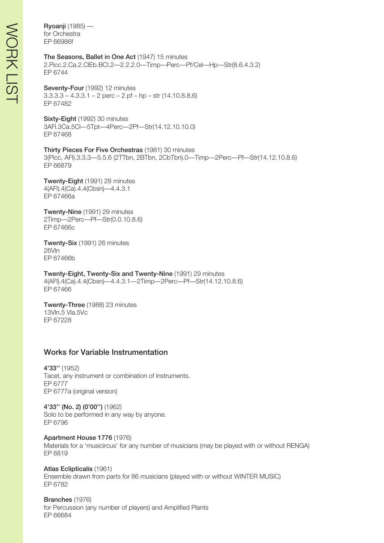Ryoanji (1985) for Orchestra EP 66986f

#### The Seasons, Ballet in One Act (1947) 15 minutes

2.Picc.2.Ca.2.ClEb.BCl.2—2.2.2.0—Timp—Perc—Pf/Cel—Hp—Str(8.6.4.3.2) EP 6744

Seventy-Four (1992) 12 minutes  $3.3.3.3 - 4.3.3.1 - 2$  perc  $- 2$  pf  $-$  hp  $-$  str (14.10.8.8.6) EP 67482

Sixty-Eight (1992) 30 minutes 3AFl.3Ca.5Cl—5Tpt—4Perc—2Pf—Str(14.12.10.10.0) EP 67468

Thirty Pieces For Five Orchestras (1981) 30 minutes 3(Picc, AFl).3.3.3—5.5.6 (2TTbn, 2BTbn, 2CbTbn).0—Timp—2Perc—Pf—Str(14.12.10.8.6) EP 66879

Twenty-Eight (1991) 28 minutes 4(AFl).4(Ca).4.4(Cbsn)—4.4.3.1 EP 67466a

Twenty-Nine (1991) 29 minutes 2Timp—2Perc—Pf—Str(0.0.10.8.6) EP 67466c

Twenty-Six (1991) 26 minutes 26Vln EP 67466b

Twenty-Eight, Twenty-Six and Twenty-Nine (1991) 29 minutes 4(AFl).4(Ca).4.4(Cbsn)—4.4.3.1—2Timp—2Perc—Pf—Str(14.12.10.8.6) EP 67466

Twenty-Three (1988) 23 minutes 13Vln.5 Vla.5Vc EP 67228

# Works for Variable Instrumentation

4'33'' (1952) Tacet, any instrument or combination of instruments. EP 6777 EP 6777a (original version)

4'33'' (No. 2) (0'00'') (1962) Solo to be performed in any way by anyone. EP 6796

Apartment House 1776 (1976) Materials for a 'musicircus' for any number of musicians (may be played with or without RENGA) EP 6819

Atlas Eclipticalis (1961) Ensemble drawn from parts for 86 musicians (played with or without WINTER MUSIC) EP 6782

Branches (1976) for Percussion (any number of players) and Amplified Plants EP 66684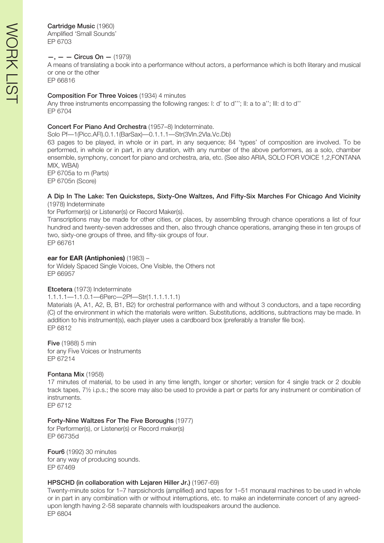# Cartridge Music (1960)

Amplified 'Small Sounds' EP 6703

# $-$ ,  $-$  Circus On  $-$  (1979)

A means of translating a book into a performance without actors, a performance which is both literary and musical or one or the other

EP 66816

#### Composition For Three Voices (1934) 4 minutes

Any three instruments encompassing the following ranges: I: d' to d'''; II: a to a''; III: d to d'' EP 6704

#### Concert For Piano And Orchestra (1957–8) Indeterminate.

Solo Pf—1(Picc.AFl).0.1.1(BarSax)—0.1.1.1—Str(3Vln.2Vla.Vc.Db)

63 pages to be played, in whole or in part, in any sequence; 84 'types' of composition are involved. To be performed, in whole or in part, in any duration, with any number of the above performers, as a solo, chamber ensemble, symphony, concert for piano and orchestra, aria, etc. (See also ARIA, SOLO FOR VOICE 1,2,FONTANA MIX, WBAI)

EP 6705a to m (Parts) EP 6705n (Score)

#### A Dip In The Lake: Ten Quicksteps, Sixty-One Waltzes, And Fifty-Six Marches For Chicago And Vicinity (1978) Indeterminate

for Performer(s) or Listener(s) or Record Maker(s).

Transcriptions may be made for other cities, or places, by assembling through chance operations a list of four hundred and twenty-seven addresses and then, also through chance operations, arranging these in ten groups of two, sixty-one groups of three, and fifty-six groups of four. EP 66761

#### **ear for EAR (Antiphonies)** (1983) –

for Widely Spaced Single Voices, One Visible, the Others not EP 66957

#### Etcetera (1973) Indeterminate

#### 1.1.1.1—1.1.0.1—6Perc—2Pf—Str(1.1.1.1.1.1)

Materials (A, A1, A2, B, B1, B2) for orchestral performance with and without 3 conductors, and a tape recording (C) of the environment in which the materials were written. Substitutions, additions, subtractions may be made. In addition to his instrument(s), each player uses a cardboard box (preferably a transfer file box). EP 6812

Five (1988) 5 min for any Five Voices or Instruments EP 67214

#### Fontana Mix (1958)

17 minutes of material, to be used in any time length, longer or shorter; version for 4 single track or 2 double track tapes, 7½ i.p.s.; the score may also be used to provide a part or parts for any instrument or combination of instruments.

EP 6712

#### Forty-Nine Waltzes For The Five Boroughs (1977)

for Performer(s), or Listener(s) or Record maker(s) EP 66735d

Four6 (1992) 30 minutes for any way of producing sounds. EP 67469

#### HPSCHD (in collaboration with Lejaren Hiller Jr.) (1967-69)

Twenty-minute solos for 1–7 harpsichords (amplified) and tapes for 1–51 monaural machines to be used in whole or in part in any combination with or without interruptions, etc. to make an indeterminate concert of any agreedupon length having 2-58 separate channels with loudspeakers around the audience. EP 6804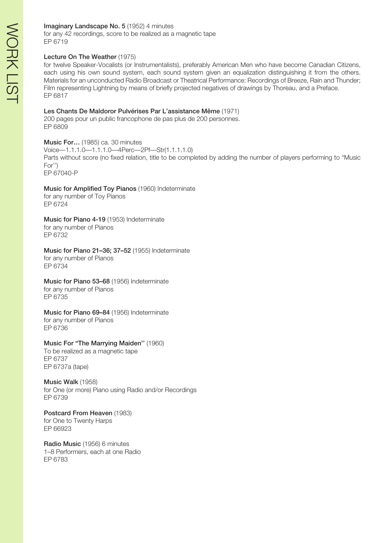for any 42 recordings, score to be realized as a magnetic tape EP 6719

### Lecture On The Weather (1975)

for twelve Speaker-Vocalists (or Instrumentalists), preferably American Men who have become Canadian Citizens, each using his own sound system, each sound system given an equalization distinguishing it from the others. Materials for an unconducted Radio Broadcast or Theatrical Performance: Recordings of Breeze, Rain and Thunder; Film representing Lightning by means of briefly projected negatives of drawings by Thoreau, and a Preface. EP 6817

#### Les Chants De Maldoror Pulvérises Par L'assistance Même (1971)

200 pages pour un public francophone de pas plus de 200 personnes. EP 6809

Music For… (1985) ca. 30 minutes Voice—1.1.1.0—1.1.1.0—4Perc—2Pf—Str(1.1.1.1.0) Parts without score (no fixed relation, title to be completed by adding the number of players performing to "Music For'') EP 67040-P

#### Music for Amplified Toy Pianos (1960) Indeterminate for any number of Toy Pianos EP 6724

Music for Piano 4-19 (1953) Indeterminate for any number of Pianos EP 6732

Music for Piano 21–36; 37–52 (1955) Indeterminate for any number of Pianos EP 6734

#### Music for Piano 53-68 (1956) Indeterminate for any number of Pianos

EP 6735

Music for Piano 69-84 (1956) Indeterminate for any number of Pianos EP 6736

# Music For "The Marrying Maiden'' (1960)

To be realized as a magnetic tape EP 6737 EP 6737a (tape)

Music Walk (1958) for One (or more) Piano using Radio and/or Recordings EP 6739

Postcard From Heaven (1983) for One to Twenty Harps EP 66923

Radio Music (1956) 6 minutes 1–8 Performers, each at one Radio EP 6783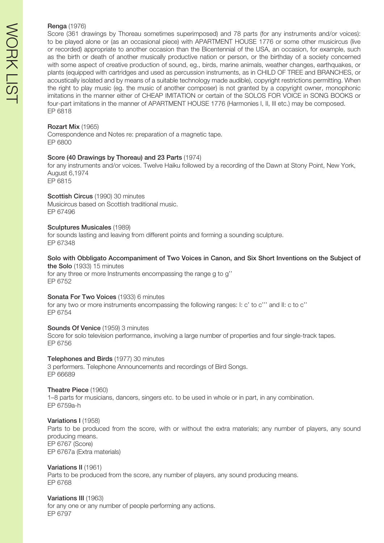#### Renga (1976)

Score (361 drawings by Thoreau sometimes superimposed) and 78 parts (for any instruments and/or voices): to be played alone or (as an occasional piece) with APARTMENT HOUSE 1776 or some other musicircus (live or recorded) appropriate to another occasion than the Bicentennial of the USA, an occasion, for example, such as the birth or death of another musically productive nation or person, or the birthday of a society concerned with some aspect of creative production of sound, eg., birds, marine animals, weather changes, earthquakes, or plants (equipped with cartridges and used as percussion instruments, as in CHILD OF TREE and BRANCHES, or acoustically isolated and by means of a suitable technology made audible), copyright restrictions permitting. When the right to play music (eg. the music of another composer) is not granted by a copyright owner, monophonic imitations in the manner either of CHEAP IMITATION or certain of the SOLOS FOR VOICE in SONG BOOKS or four-part imitations in the manner of APARTMENT HOUSE 1776 (Harmonies I, II, III etc.) may be composed. EP 6818

#### Rozart Mix (1965)

Correspondence and Notes re: preparation of a magnetic tape. EP 6800

#### Score (40 Drawings by Thoreau) and 23 Parts (1974)

for any instruments and/or voices. Twelve Haiku followed by a recording of the Dawn at Stony Point, New York, August 6,1974 EP 6815

#### Scottish Circus (1990) 30 minutes

Musicircus based on Scottish traditional music. EP 67496

#### Sculptures Musicales (1989)

for sounds lasting and leaving from different points and forming a sounding sculpture. EP 67348

#### Solo with Obbligato Accompaniment of Two Voices in Canon, and Six Short Inventions on the Subject of the Solo (1933) 15 minutes

for any three or more Instruments encompassing the range g to g'' EP 6752

#### Sonata For Two Voices (1933) 6 minutes

for any two or more instruments encompassing the following ranges: I: c' to c''' and II: c to c'' EP 6754

#### Sounds Of Venice (1959) 3 minutes

Score for solo television performance, involving a large number of properties and four single-track tapes. EP 6756

#### Telephones and Birds (1977) 30 minutes

3 performers. Telephone Announcements and recordings of Bird Songs. EP 66689

#### Theatre Piece (1960)

1–8 parts for musicians, dancers, singers etc. to be used in whole or in part, in any combination. EP 6759a-h

#### Variations I (1958)

Parts to be produced from the score, with or without the extra materials; any number of players, any sound producing means. EP 6767 (Score) EP 6767a (Extra materials)

# Variations II (1961)

Parts to be produced from the score, any number of players, any sound producing means. EP 6768

Variations III (1963) for any one or any number of people performing any actions. EP 6797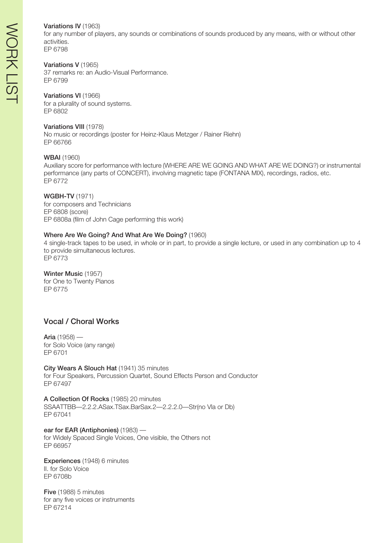# WORK LISTWORK LIS-

#### Variations IV (1963)

for any number of players, any sounds or combinations of sounds produced by any means, with or without other activities. EP 6798

#### Variations V (1965)

37 remarks re: an Audio-Visual Performance. EP 6799

#### Variations VI (1966)

for a plurality of sound systems. EP 6802

#### Variations VIII (1978)

No music or recordings (poster for Heinz-Klaus Metzger / Rainer Riehn) EP 66766

#### WBAI (1960)

Auxiliary score for performance with lecture (WHERE ARE WE GOING AND WHAT ARE WE DOING?) or instrumental performance (any parts of CONCERT), involving magnetic tape (FONTANA MIX), recordings, radios, etc. EP 6772

#### WGBH-TV (1971)

for composers and Technicians EP 6808 (score) EP 6808a (film of John Cage performing this work)

#### Where Are We Going? And What Are We Doing? (1960)

4 single-track tapes to be used, in whole or in part, to provide a single lecture, or used in any combination up to 4 to provide simultaneous lectures.

EP 6773

#### Winter Music (1957)

for One to Twenty Pianos EP 6775

# Vocal / Choral Works

Aria (1958) for Solo Voice (any range) EP 6701

City Wears A Slouch Hat (1941) 35 minutes for Four Speakers, Percussion Quartet, Sound Effects Person and Conductor EP 67497

A Collection Of Rocks (1985) 20 minutes SSAATTBB—2.2.2.ASax.TSax.BarSax.2—2.2.2.0—Str(no Vla or Db) EP 67041

ear for EAR (Antiphonies) (1983) for Widely Spaced Single Voices, One visible, the Others not EP 66957

Experiences (1948) 6 minutes II. for Solo Voice EP 6708b

Five (1988) 5 minutes for any five voices or instruments EP 67214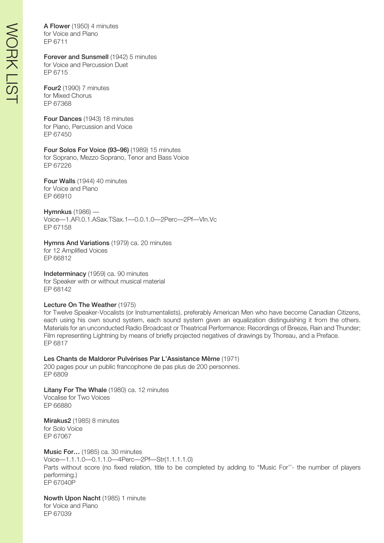A Flower (1950) 4 minutes for Voice and Piano EP 6711

#### Forever and Sunsmell (1942) 5 minutes for Voice and Percussion Duet EP 6715

Four2 (1990) 7 minutes for Mixed Chorus EP 67368

Four Dances (1943) 18 minutes for Piano, Percussion and Voice EP 67450

Four Solos For Voice (93–96) (1989) 15 minutes for Soprano, Mezzo Soprano, Tenor and Bass Voice EP 67226

Four Walls (1944) 40 minutes for Voice and Piano EP 66910

Hymnkus (1986) — Voice—1.AFl.0.1.ASax.TSax.1—0.0.1.0—2Perc—2Pf—Vln.Vc EP 67158

Hymns And Variations (1979) ca. 20 minutes for 12 Amplified Voices EP 66812

Indeterminacy (1959) ca. 90 minutes for Speaker with or without musical material EP 68142

#### Lecture On The Weather (1975)

for Twelve Speaker-Vocalists (or Instrumentalists), preferably American Men who have become Canadian Citizens, each using his own sound system, each sound system given an equalization distinguishing it from the others. Materials for an unconducted Radio Broadcast or Theatrical Performance: Recordings of Breeze, Rain and Thunder; Film representing Lightning by means of briefly projected negatives of drawings by Thoreau, and a Preface. EP 6817

Les Chants de Maldoror Pulvérises Par L'Assistance Même (1971) 200 pages pour un public francophone de pas plus de 200 personnes. EP 6809

Litany For The Whale (1980) ca. 12 minutes Vocalise for Two Voices EP 66880

Mirakus2 (1985) 8 minutes for Solo Voice EP 67067

Music For… (1985) ca. 30 minutes Voice—1.1.1.0—0.1.1.0—4Perc—2Pf—Str(1.1.1.1.0) Parts without score (no fixed relation, title to be completed by adding to "Music For''- the number of players performing.) EP 67040P

Nowth Upon Nacht (1985) 1 minute for Voice and Piano EP 67039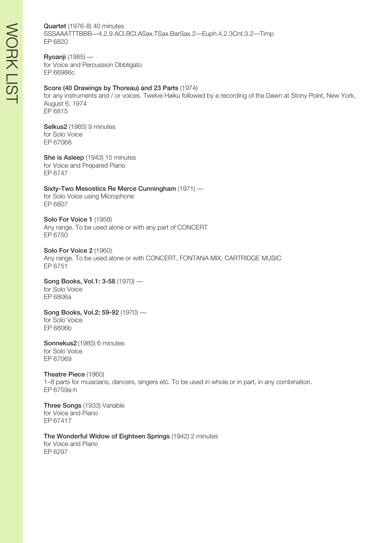#### Quartet (1976-8) 40 minutes

SSSAAATTTBBB—4.2.9.ACl.BCl.ASax.TSax.BarSax.2—Euph.4.2.3Cnt.3.2—Timp EP 6820

Ryoanji (1985) for Voice and Percussion Obbligato EP 66986c

#### Score (40 Drawings by Thoreau) and 23 Parts (1974)

for any instruments and / or voices. Twelve Haiku followed by a recording of the Dawn at Stony Point, New York, August 6, 1974 EP 6815

Selkus2 (1985) 9 minutes for Solo Voice EP 67068

She is Asleep (1943) 15 minutes for Voice and Prepared Piano EP 6747

#### Sixty-Two Mesostics Re Merce Cunningham (1971) —

for Solo Voice using Microphone EP 6807

Solo For Voice 1 (1958) Any range. To be used alone or with any part of CONCERT EP 6750

Solo For Voice 2 (1960) Any range. To be used alone or with CONCERT, FONTANA MIX, CARTRIDGE MUSIC EP 6751

Song Books, Vol.1: 3-58 (1970) for Solo Voice EP 6806a

Song Books, Vol.2: 59-92 (1970) for Solo Voice EP 6806b

Sonnekus2 (1985) 6 minutes for Solo Voice EP 67069

Theatre Piece (1960) 1–8 parts for musicians, dancers, singers etc. To be used in whole or in part, in any combination. EP 6759a-h

Three Songs (1933) Variable for Voice and Piano EP 67417

The Wonderful Widow of Eighteen Springs (1942) 2 minutes for Voice and Piano EP 6297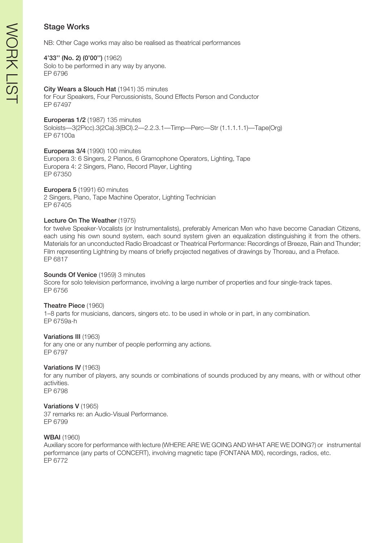NB: Other Cage works may also be realised as theatrical performances

# 4'33'' (No. 2) (0'00'') (1962)

Solo to be performed in any way by anyone. EP 6796

# City Wears a Slouch Hat (1941) 35 minutes

for Four Speakers, Four Percussionists, Sound Effects Person and Conductor EP 67497

Europeras 1/2 (1987) 135 minutes

Soloists—3(2Picc).3(2Ca).3(BCl).2—2.2.3.1—Timp—Perc—Str (1.1.1.1.1)—Tape(Org) EP 67100a

Europeras 3/4 (1990) 100 minutes

Europera 3: 6 Singers, 2 Pianos, 6 Gramophone Operators, Lighting, Tape Europera 4: 2 Singers, Piano, Record Player, Lighting EP 67350

# Europera 5 (1991) 60 minutes

2 Singers, Piano, Tape Machine Operator, Lighting Technician EP 67405

# Lecture On The Weather (1975)

for twelve Speaker-Vocalists (or Instrumentalists), preferably American Men who have become Canadian Citizens, each using his own sound system, each sound system given an equalization distinguishing it from the others. Materials for an unconducted Radio Broadcast or Theatrical Performance: Recordings of Breeze, Rain and Thunder; Film representing Lightning by means of briefly projected negatives of drawings by Thoreau, and a Preface. EP 6817

# Sounds Of Venice (1959) 3 minutes

Score for solo television performance, involving a large number of properties and four single-track tapes. EP 6756

# Theatre Piece (1960)

1–8 parts for musicians, dancers, singers etc. to be used in whole or in part, in any combination. EP 6759a-h

# Variations III (1963)

for any one or any number of people performing any actions. EP 6797

# Variations IV (1963)

for any number of players, any sounds or combinations of sounds produced by any means, with or without other activities.

EP 6798

# Variations V (1965)

37 remarks re: an Audio-Visual Performance. EP 6799

# WBAI (1960)

Auxiliary score for performance with lecture (WHERE ARE WE GOING AND WHAT ARE WE DOING?) or instrumental performance (any parts of CONCERT), involving magnetic tape (FONTANA MIX), recordings, radios, etc. EP 6772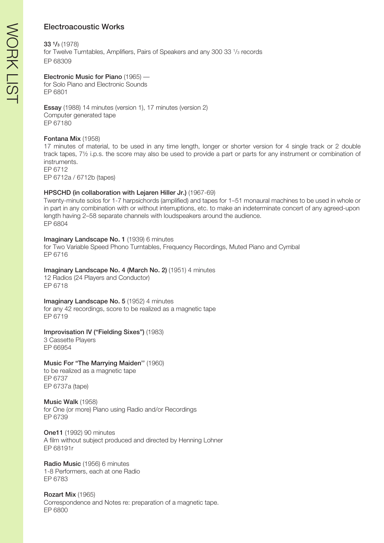# Electroacoustic Works

#### 33 ¹/3 (1978)

for Twelve Turntables, Amplifiers, Pairs of Speakers and any 300 33 1/3 records EP 68309

#### Electronic Music for Piano (1965) —

for Solo Piano and Electronic Sounds EP 6801

Essay (1988) 14 minutes (version 1), 17 minutes (version 2) Computer generated tape EP 67180

#### Fontana Mix (1958)

17 minutes of material, to be used in any time length, longer or shorter version for 4 single track or 2 double track tapes, 7½ i.p.s. the score may also be used to provide a part or parts for any instrument or combination of instruments. EP 6712

EP 6712a / 6712b (tapes)

### HPSCHD (in collaboration with Lejaren Hiller Jr.) (1967-69)

Twenty-minute solos for 1-7 harpsichords (amplified) and tapes for 1–51 monaural machines to be used in whole or in part in any combination with or without interruptions, etc. to make an indeterminate concert of any agreed-upon length having 2–58 separate channels with loudspeakers around the audience. EP 6804

#### Imaginary Landscape No. 1 (1939) 6 minutes

for Two Variable Speed Phono Turntables, Frequency Recordings, Muted Piano and Cymbal EP 6716

#### Imaginary Landscape No. 4 (March No. 2) (1951) 4 minutes

12 Radios (24 Players and Conductor) EP 6718

#### Imaginary Landscape No. 5 (1952) 4 minutes

for any 42 recordings, score to be realized as a magnetic tape EP 6719

#### Improvisation IV ("Fielding Sixes") (1983)

3 Cassette Players EP 66954

#### Music For "The Marrying Maiden'' (1960)

to be realized as a magnetic tape EP 6737 EP 6737a (tape)

#### Music Walk (1958)

for One (or more) Piano using Radio and/or Recordings EP 6739

One11 (1992) 90 minutes A film without subject produced and directed by Henning Lohner EP 68191r

Radio Music (1956) 6 minutes 1-8 Performers, each at one Radio EP 6783

Rozart Mix (1965) Correspondence and Notes re: preparation of a magnetic tape. EP 6800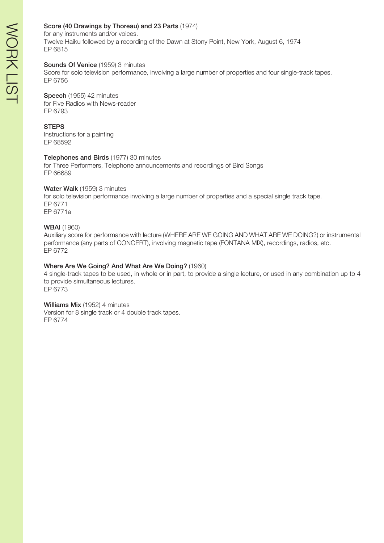#### Score (40 Drawings by Thoreau) and 23 Parts (1974)

for any instruments and/or voices. Twelve Haiku followed by a recording of the Dawn at Stony Point, New York, August 6, 1974 EP 6815

#### Sounds Of Venice (1959) 3 minutes

Score for solo television performance, involving a large number of properties and four single-track tapes. EP 6756

#### Speech (1955) 42 minutes

for Five Radios with News-reader EP 6793

#### **STEPS**

Instructions for a painting EP 68592

#### Telephones and Birds (1977) 30 minutes

for Three Performers, Telephone announcements and recordings of Bird Songs EP 66689

#### Water Walk (1959) 3 minutes

for solo television performance involving a large number of properties and a special single track tape. EP 6771 EP 6771a

WBAI (1960)

Auxiliary score for performance with lecture (WHERE ARE WE GOING AND WHAT ARE WE DOING?) or instrumental performance (any parts of CONCERT), involving magnetic tape (FONTANA MIX), recordings, radios, etc. EP 6772

#### Where Are We Going? And What Are We Doing? (1960)

4 single-track tapes to be used, in whole or in part, to provide a single lecture, or used in any combination up to 4 to provide simultaneous lectures. EP 6773

#### Williams Mix (1952) 4 minutes

Version for 8 single track or 4 double track tapes. EP 6774